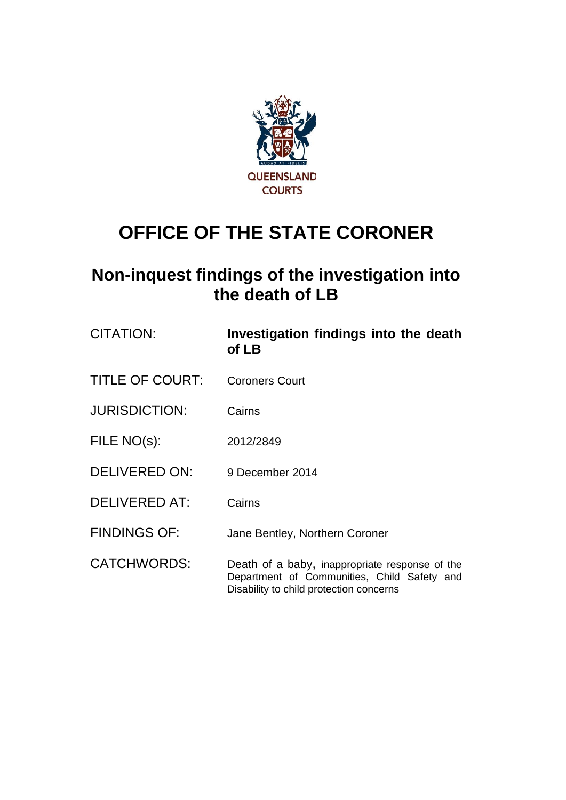

## **OFFICE OF THE STATE CORONER**

## **Non-inquest findings of the investigation into the death of LB**

| <b>CITATION:</b>       | Investigation findings into the death<br>of LB                                                                                           |
|------------------------|------------------------------------------------------------------------------------------------------------------------------------------|
| <b>TITLE OF COURT:</b> | <b>Coroners Court</b>                                                                                                                    |
| <b>JURISDICTION:</b>   | Cairns                                                                                                                                   |
| FILE NO(s):            | 2012/2849                                                                                                                                |
| <b>DELIVERED ON:</b>   | 9 December 2014                                                                                                                          |
| <b>DELIVERED AT:</b>   | Cairns                                                                                                                                   |
| <b>FINDINGS OF:</b>    | Jane Bentley, Northern Coroner                                                                                                           |
| <b>CATCHWORDS:</b>     | Death of a baby, inappropriate response of the<br>Department of Communities, Child Safety and<br>Disability to child protection concerns |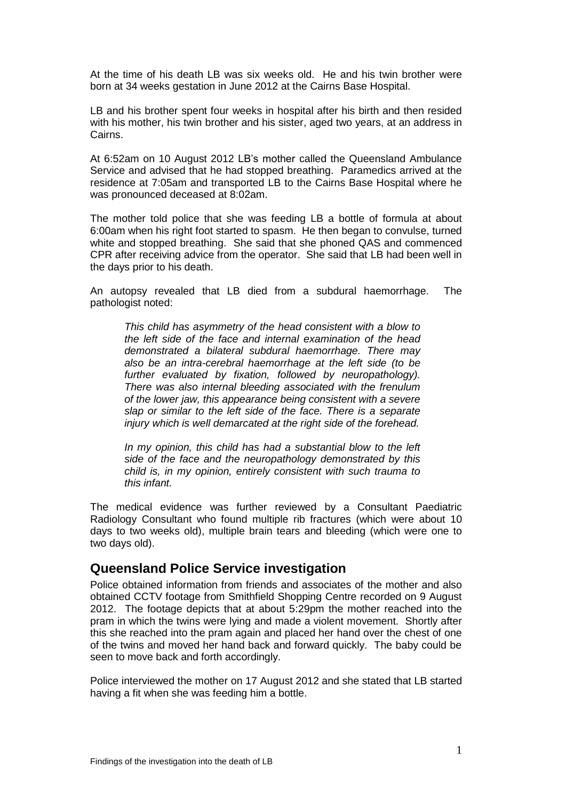At the time of his death LB was six weeks old. He and his twin brother were born at 34 weeks gestation in June 2012 at the Cairns Base Hospital.

LB and his brother spent four weeks in hospital after his birth and then resided with his mother, his twin brother and his sister, aged two years, at an address in Cairns.

At 6:52am on 10 August 2012 LB's mother called the Queensland Ambulance Service and advised that he had stopped breathing. Paramedics arrived at the residence at 7:05am and transported LB to the Cairns Base Hospital where he was pronounced deceased at 8:02am.

The mother told police that she was feeding LB a bottle of formula at about 6:00am when his right foot started to spasm. He then began to convulse, turned white and stopped breathing. She said that she phoned QAS and commenced CPR after receiving advice from the operator. She said that LB had been well in the days prior to his death.

An autopsy revealed that LB died from a subdural haemorrhage. The pathologist noted:

*This child has asymmetry of the head consistent with a blow to the left side of the face and internal examination of the head demonstrated a bilateral subdural haemorrhage. There may also be an intra-cerebral haemorrhage at the left side (to be further evaluated by fixation, followed by neuropathology). There was also internal bleeding associated with the frenulum of the lower jaw, this appearance being consistent with a severe slap or similar to the left side of the face. There is a separate injury which is well demarcated at the right side of the forehead.*

*In my opinion, this child has had a substantial blow to the left side of the face and the neuropathology demonstrated by this child is, in my opinion, entirely consistent with such trauma to this infant.*

The medical evidence was further reviewed by a Consultant Paediatric Radiology Consultant who found multiple rib fractures (which were about 10 days to two weeks old), multiple brain tears and bleeding (which were one to two days old).

## **Queensland Police Service investigation**

Police obtained information from friends and associates of the mother and also obtained CCTV footage from Smithfield Shopping Centre recorded on 9 August 2012. The footage depicts that at about 5:29pm the mother reached into the pram in which the twins were lying and made a violent movement. Shortly after this she reached into the pram again and placed her hand over the chest of one of the twins and moved her hand back and forward quickly. The baby could be seen to move back and forth accordingly.

Police interviewed the mother on 17 August 2012 and she stated that LB started having a fit when she was feeding him a bottle.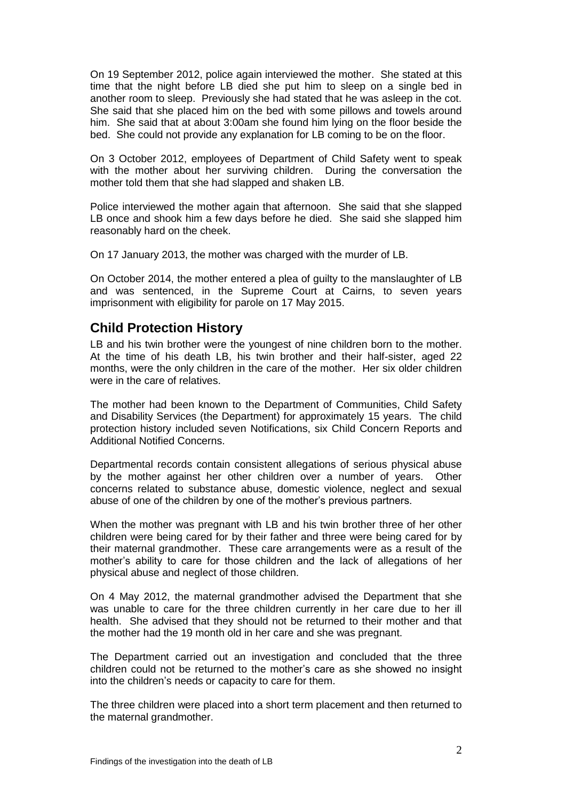On 19 September 2012, police again interviewed the mother. She stated at this time that the night before LB died she put him to sleep on a single bed in another room to sleep. Previously she had stated that he was asleep in the cot. She said that she placed him on the bed with some pillows and towels around him. She said that at about 3:00am she found him lying on the floor beside the bed. She could not provide any explanation for LB coming to be on the floor.

On 3 October 2012, employees of Department of Child Safety went to speak with the mother about her surviving children. During the conversation the mother told them that she had slapped and shaken LB.

Police interviewed the mother again that afternoon. She said that she slapped LB once and shook him a few days before he died. She said she slapped him reasonably hard on the cheek.

On 17 January 2013, the mother was charged with the murder of LB.

On October 2014, the mother entered a plea of guilty to the manslaughter of LB and was sentenced, in the Supreme Court at Cairns, to seven years imprisonment with eligibility for parole on 17 May 2015.

## **Child Protection History**

LB and his twin brother were the youngest of nine children born to the mother. At the time of his death LB, his twin brother and their half-sister, aged 22 months, were the only children in the care of the mother. Her six older children were in the care of relatives.

The mother had been known to the Department of Communities, Child Safety and Disability Services (the Department) for approximately 15 years. The child protection history included seven Notifications, six Child Concern Reports and Additional Notified Concerns.

Departmental records contain consistent allegations of serious physical abuse by the mother against her other children over a number of years. Other concerns related to substance abuse, domestic violence, neglect and sexual abuse of one of the children by one of the mother's previous partners.

When the mother was pregnant with LB and his twin brother three of her other children were being cared for by their father and three were being cared for by their maternal grandmother. These care arrangements were as a result of the mother's ability to care for those children and the lack of allegations of her physical abuse and neglect of those children.

On 4 May 2012, the maternal grandmother advised the Department that she was unable to care for the three children currently in her care due to her ill health. She advised that they should not be returned to their mother and that the mother had the 19 month old in her care and she was pregnant.

The Department carried out an investigation and concluded that the three children could not be returned to the mother's care as she showed no insight into the children's needs or capacity to care for them.

The three children were placed into a short term placement and then returned to the maternal grandmother.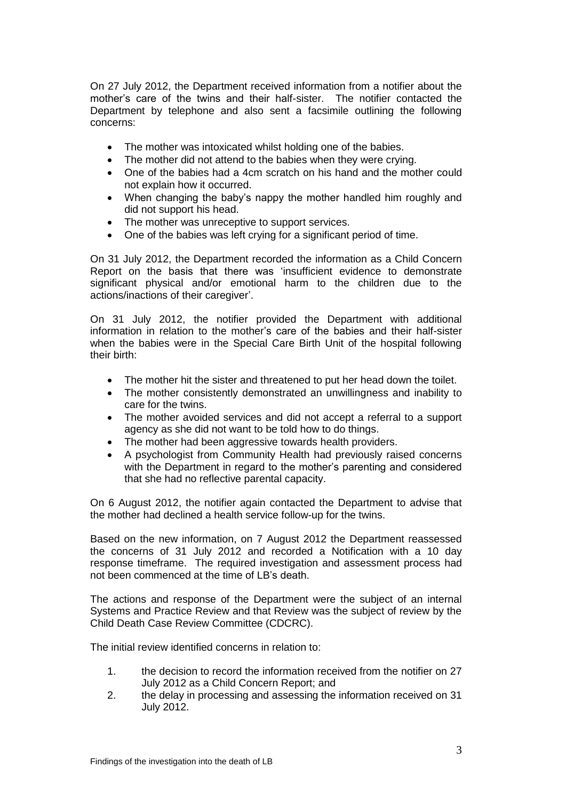On 27 July 2012, the Department received information from a notifier about the mother's care of the twins and their half-sister. The notifier contacted the Department by telephone and also sent a facsimile outlining the following concerns:

- The mother was intoxicated whilst holding one of the babies.
- The mother did not attend to the babies when they were crying.
- One of the babies had a 4cm scratch on his hand and the mother could not explain how it occurred.
- When changing the baby's nappy the mother handled him roughly and did not support his head.
- The mother was unreceptive to support services.
- One of the babies was left crying for a significant period of time.

On 31 July 2012, the Department recorded the information as a Child Concern Report on the basis that there was 'insufficient evidence to demonstrate significant physical and/or emotional harm to the children due to the actions/inactions of their caregiver'.

On 31 July 2012, the notifier provided the Department with additional information in relation to the mother's care of the babies and their half-sister when the babies were in the Special Care Birth Unit of the hospital following their birth:

- The mother hit the sister and threatened to put her head down the toilet.
- The mother consistently demonstrated an unwillingness and inability to care for the twins.
- The mother avoided services and did not accept a referral to a support agency as she did not want to be told how to do things.
- The mother had been aggressive towards health providers.
- A psychologist from Community Health had previously raised concerns with the Department in regard to the mother's parenting and considered that she had no reflective parental capacity.

On 6 August 2012, the notifier again contacted the Department to advise that the mother had declined a health service follow-up for the twins.

Based on the new information, on 7 August 2012 the Department reassessed the concerns of 31 July 2012 and recorded a Notification with a 10 day response timeframe. The required investigation and assessment process had not been commenced at the time of LB's death.

The actions and response of the Department were the subject of an internal Systems and Practice Review and that Review was the subject of review by the Child Death Case Review Committee (CDCRC).

The initial review identified concerns in relation to:

- 1. the decision to record the information received from the notifier on 27 July 2012 as a Child Concern Report; and
- 2. the delay in processing and assessing the information received on 31 July 2012.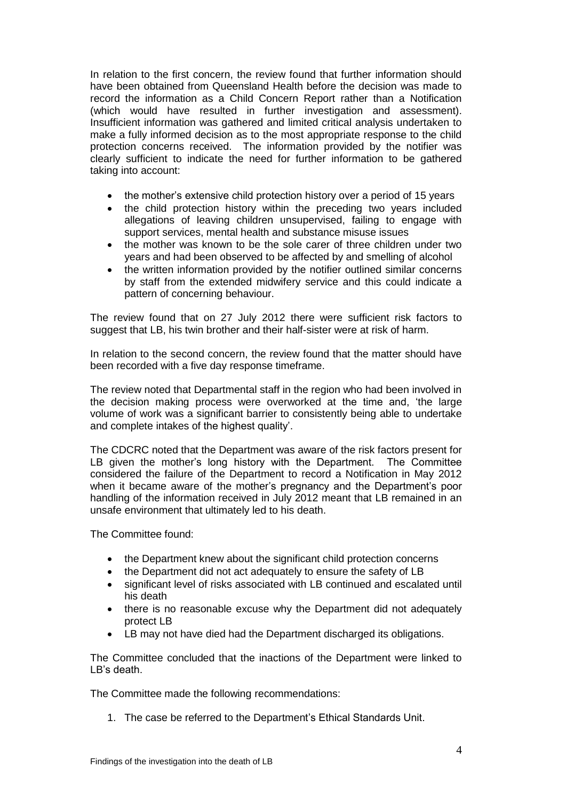In relation to the first concern, the review found that further information should have been obtained from Queensland Health before the decision was made to record the information as a Child Concern Report rather than a Notification (which would have resulted in further investigation and assessment). Insufficient information was gathered and limited critical analysis undertaken to make a fully informed decision as to the most appropriate response to the child protection concerns received. The information provided by the notifier was clearly sufficient to indicate the need for further information to be gathered taking into account:

- the mother's extensive child protection history over a period of 15 years
- the child protection history within the preceding two years included allegations of leaving children unsupervised, failing to engage with support services, mental health and substance misuse issues
- the mother was known to be the sole carer of three children under two years and had been observed to be affected by and smelling of alcohol
- the written information provided by the notifier outlined similar concerns by staff from the extended midwifery service and this could indicate a pattern of concerning behaviour.

The review found that on 27 July 2012 there were sufficient risk factors to suggest that LB, his twin brother and their half-sister were at risk of harm.

In relation to the second concern, the review found that the matter should have been recorded with a five day response timeframe.

The review noted that Departmental staff in the region who had been involved in the decision making process were overworked at the time and, 'the large volume of work was a significant barrier to consistently being able to undertake and complete intakes of the highest quality'.

The CDCRC noted that the Department was aware of the risk factors present for LB given the mother's long history with the Department. The Committee considered the failure of the Department to record a Notification in May 2012 when it became aware of the mother's pregnancy and the Department's poor handling of the information received in July 2012 meant that LB remained in an unsafe environment that ultimately led to his death.

The Committee found:

- the Department knew about the significant child protection concerns
- the Department did not act adequately to ensure the safety of LB
- significant level of risks associated with LB continued and escalated until his death
- there is no reasonable excuse why the Department did not adequately protect LB
- LB may not have died had the Department discharged its obligations.

The Committee concluded that the inactions of the Department were linked to LB's death.

The Committee made the following recommendations:

1. The case be referred to the Department's Ethical Standards Unit.